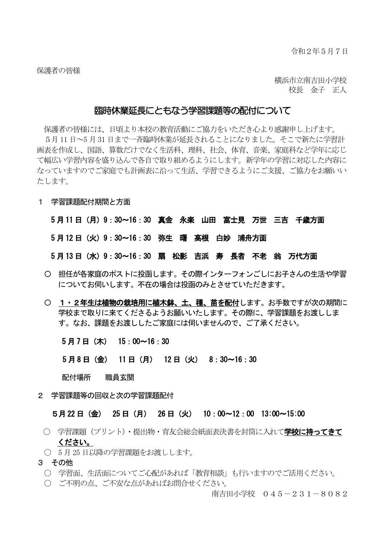横浜市立南吉田小学校 校長 金子 正人

#### 臨時休業延長にともなう学習課題等の配付について

保護者の皆様には、日頃より本校の教育活動にご協力をいただき心より感謝申し上げます。 5月11 日~5 月31 日まで一斉臨時休業が延長されることになりました。そこで新たに学習計 画表を作成し、国語、算数だけでなく生活科、理科、社会、体育、音楽、家庭科など学年に応じ て幅広い学習内容を盛り込んで各自で取り組めるようにします。新学年の学習に対応した内容に なっていますのでご家庭でも計画表に沿って生活、学習できるようにご支援、ご協力をお願いい たします。

1 学習課題配付期間と方面

5 月 11 日(月)9:30~16:30 真金 永楽 山田 富士見 万世 三吉 千歳方面 5 月 12 日(火)9:30~16:30 弥生 曙 高根 白妙 浦舟方面 5 月 13 日(水)9:30~16:30 扇 松影 吉浜 寿 長者 不老 翁 万代方面

- 〇 担任が各家庭のポストに投函します。その際インターフォンごしにお子さんの生活や学習 についてお伺いします。不在の場合は投函のみとさせていただきます。
- 1・2年生は植物の栽培用に植木鉢、土、種、苗を配付します。お手数ですが次の期間に 学校まで取りに来てくださるようお願いいたします。その際に、学習課題をお渡ししま す。なお、課題をお渡ししたご家庭には伺いませんので、ご了承ください。

5 月 7 日(木) 15:00~16:30

5 月 8 日(金) 11 日(月) 12 日(火) 8:30~16:30

配付場所 職員玄関

2 学習課題等の回収と次の学習課題配付

5月 22 日(金) 25 日(月) 26 日(火) 10:00~12:00 13:00~15:00

- 学習課題(プリント)・提出物・育友会総会紙面表決書を封筒に入れて学校に持ってきて ください。
- 5月25日以降の学習課題をお渡しします。
- 3 その他
	- 〇 学習面、生活面についてご心配があれば「教育相談」も行いますのでご活用ください。
	- 〇 ご不明の点、ご不安な点があればお問合せください。

南吉田小学校 045-231-8082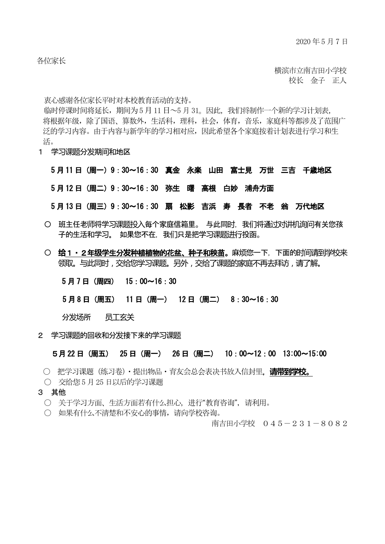各位家长

 横滨市立南吉田小学校 校长 金子 正人

衷心感谢各位家长平时对本校教育活动的支持。

临时停课时间将延长,期间为5月11日~5月31。因此,我们将制作一个新的学习计划表, 将根据年级,除了国语、算数外,生活科,理科,社会,体育,音乐,家庭科等都涉及了范围广 泛的学习内容。由于内容与新学年的学习相对应,因此希望各个家庭按着计划表进行学习和生 活。

1 学习课题分发期间和地区

5 月 11 日(周一)9:30~16:30 真金 永楽 山田 富士見 万世 三吉 千歳地区

5 月 12 日(周二)9:30~16:30 弥生 曙 高根 白妙 浦舟方面

5 月 13 日(周三)9:30~16:30 扇 松影 吉浜 寿 長者 不老 翁 万代地区

- 〇 班主任老师将学习课题投入每个家庭信箱里。 与此同时,我们将通过对讲机询问有关您孩 子的生活和学习。 如果您不在, 我们只是把学习课题讲行投函。
- 〇 **给**1・2年**级**学生分**发**种植植物的花盆、种子和秧苗。麻烦您一下,下面的时间请到学校来 领取。与此同时,交给您学习课题。另外,交给了课题的家庭不再去拜访,请了解。

5 月 7 日(周四) 15:00~16:30

5 月 8 日(周五) 11 日(周一) 12 日(周二) 8:30~16:30

分发场所 员工玄关

2 学习课题的回收和分发接下来的学习课题

5月 22 日(周五) 25 日(周一) 26 日(周二) 10:00~12:00 13:00~15:00

- 〇 把学习课题(练习卷)・提出物品・育友会总会表决书放入信封里,**请带到学校**。
- 〇 交给您5 月25 日以后的学习课题
- 3 其他
	- 关于学习方面、生活方面若有什么担心, 进行"教育咨询", 请利用。
	- 〇 如果有什么不清楚和不安心的事情,请向学校咨询。

南吉田小学校 045-231-8082